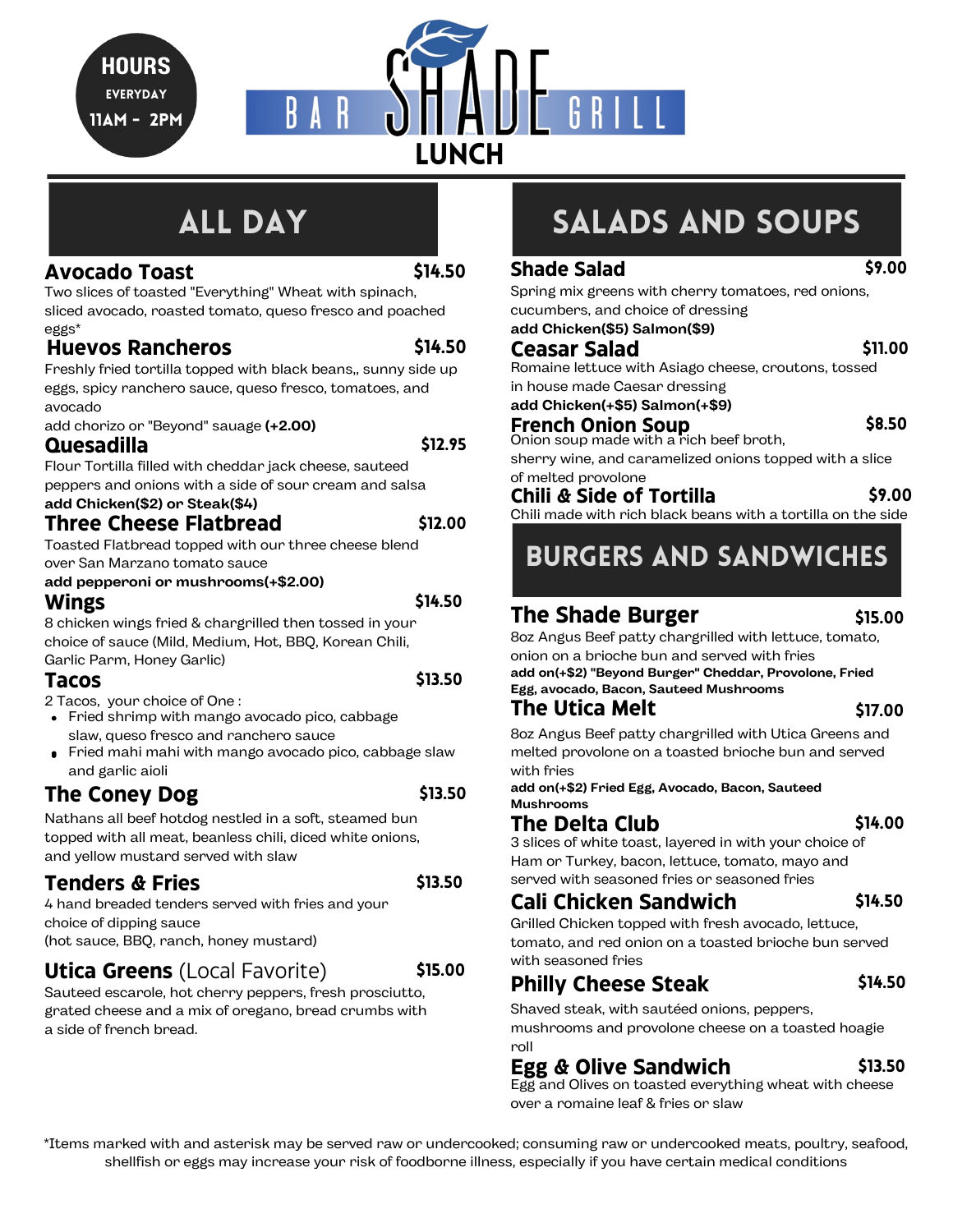**HOURS EVERYDAY** 11Am - 2pm



# **ALL DAY**

### **Avocado Toast**

\$14.50

\$14.50

Two slices of toasted "Everything" Wheat with spinach, sliced avocado, roasted tomato, queso fresco and poached eggs\*

### **Huevos Rancheros**

Freshly fried tortilla topped with black beans,, sunny side up eggs, spicy ranchero sauce, queso fresco, tomatoes, and avocado

add chorizo or "Beyond" sauage **(+2.00)**

### **Quesadilla**

Flour Tortilla filled with cheddar jack cheese, sauteed peppers and onions with a side of sour cream and salsa

#### **Three Cheese Flatbread add Chicken(\$2) or Steak(\$4)**

Toasted Flatbread topped with our three cheese blend over San Marzano tomato sauce

### **add pepperoni or mushrooms(+\$2.00)**

### **Wings**

\$14.50

\$13.50

\$12.95

\$12.00

8 chicken wings fried & chargrilled then tossed in your choice of sauce (Mild, Medium, Hot, BBQ, Korean Chili, Garlic Parm, Honey Garlic)

### **Tacos**

2 Tacos, your choice of One :

- Fried shrimp with mango avocado pico, cabbage slaw, queso fresco and ranchero sauce
- Fried mahi mahi with mango avocado pico, cabbage slaw and garlic aioli

### **The Coney Dog** \$13.50

Nathans all beef hotdog nestled in a soft, steamed bun topped with all meat, beanless chili, diced white onions, and yellow mustard served with slaw

### **Tenders & Fries**

\$13.50

\$15.00

4 hand breaded tenders served with fries and your choice of dipping sauce (hot sauce, BBQ, ranch, honey mustard)

### **Utica Greens** (Local Favorite)

Sauteed escarole, hot cherry peppers, fresh prosciutto, grated cheese and a mix of oregano, bread crumbs with a side of french bread.

# SALADS and Soups

\$9.00

\$11.00

\$8.50

Spring mix greens with cherry tomatoes, red onions, cucumbers, and choice of dressing **add Chicken(\$5) Salmon(\$9)**

### **Ceasar Salad**

**Shade Salad**

Romaine lettuce with Asiago cheese, croutons, tossed in house made Caesar dressing

**add Chicken(+\$5) Salmon(+\$9)**

### **French Onion Soup**

Onion soup made with a rich beef broth,

sherry wine, and caramelized onions topped with a slice of melted provolone

#### **Chili & Side of Tortilla** \$9.00

Chili made with rich black beans with a tortilla on the side

# Burgers and Sandwiches

## **The Shade Burger**

### \$15.00

8oz Angus Beef patty chargrilled with lettuce, tomato, onion on a brioche bun and served with fries

**add on(+\$2) "Beyond Burger" Cheddar, Provolone, Fried Egg, avocado, Bacon, Sauteed Mushrooms**

### **The Utica Melt**

\$17.00

8oz Angus Beef patty chargrilled with Utica Greens and melted provolone on a toasted brioche bun and served with fries

**add on(+\$2) Fried Egg, Avocado, Bacon, Sauteed Mushrooms**

### **The Delta Club**

3 slices of white toast, layered in with your choice of Ham or Turkey, bacon, lettuce, tomato, mayo and served with seasoned fries or seasoned fries

### **Cali Chicken Sandwich**

\$14.50

\$13.50

\$14.00

Grilled Chicken topped with fresh avocado, lettuce, tomato, and red onion on a toasted brioche bun served with seasoned fries

#### **Philly Cheese Steak** \$14.50

Shaved steak, with sautéed onions, peppers, mushrooms and provolone cheese on a toasted hoagie roll

## **Egg & Olive Sandwich**

Egg and Olives on toasted everything wheat with cheese over a romaine leaf & fries or slaw

\*Items marked with and asterisk may be served raw or undercooked; consuming raw or undercooked meats, poultry, seafood, shellfish or eggs may increase your risk of foodborne illness, especially if you have certain medical conditions